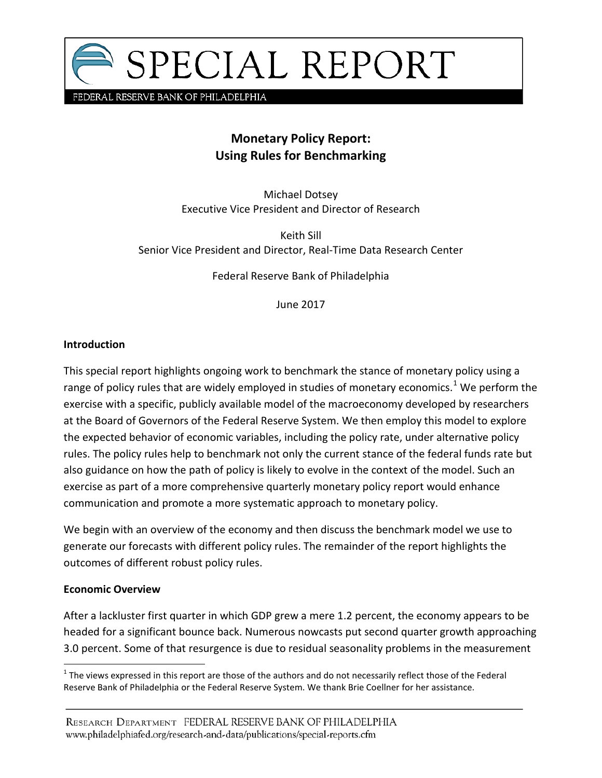

FEDERAL RESERVE BANK OF PHILADELPHIA

# **Monetary Policy Report: Using Rules for Benchmarking**

Michael Dotsey Executive Vice President and Director of Research

Keith Sill Senior Vice President and Director, Real-Time Data Research Center

Federal Reserve Bank of Philadelphia

June 2017

#### **Introduction**

This special report highlights ongoing work to benchmark the stance of monetary policy using a range of policy rules that are widely employed in studies of monetary economics.<sup>[1](#page-0-0)</sup> We perform the exercise with a specific, publicly available model of the macroeconomy developed by researchers at the Board of Governors of the Federal Reserve System. We then employ this model to explore the expected behavior of economic variables, including the policy rate, under alternative policy rules. The policy rules help to benchmark not only the current stance of the federal funds rate but also guidance on how the path of policy is likely to evolve in the context of the model. Such an exercise as part of a more comprehensive quarterly monetary policy report would enhance communication and promote a more systematic approach to monetary policy.

We begin with an overview of the economy and then discuss the benchmark model we use to generate our forecasts with different policy rules. The remainder of the report highlights the outcomes of different robust policy rules.

#### **Economic Overview**

After a lackluster first quarter in which GDP grew a mere 1.2 percent, the economy appears to be headed for a significant bounce back. Numerous nowcasts put second quarter growth approaching 3.0 percent. Some of that resurgence is due to residual seasonality problems in the measurement

<span id="page-0-0"></span> $1$  The views expressed in this report are those of the authors and do not necessarily reflect those of the Federal Reserve Bank of Philadelphia or the Federal Reserve System. We thank Brie Coellner for her assistance.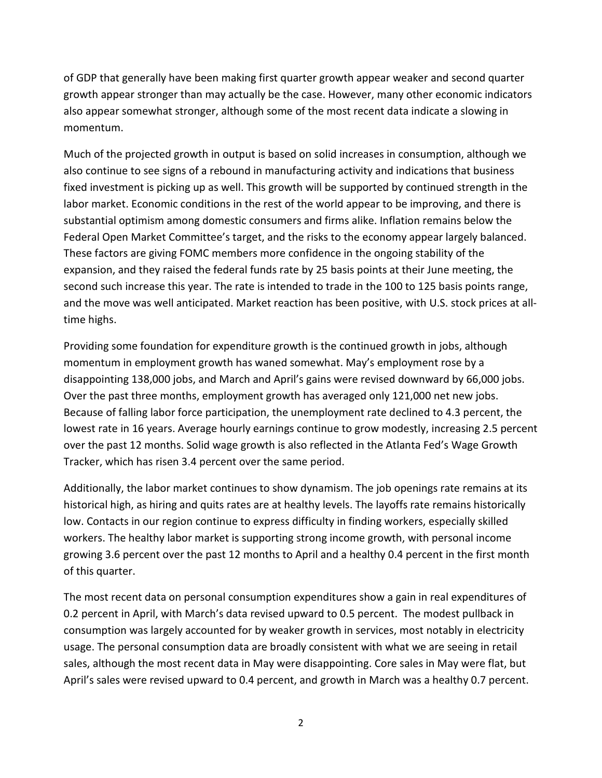of GDP that generally have been making first quarter growth appear weaker and second quarter growth appear stronger than may actually be the case. However, many other economic indicators also appear somewhat stronger, although some of the most recent data indicate a slowing in momentum.

Much of the projected growth in output is based on solid increases in consumption, although we also continue to see signs of a rebound in manufacturing activity and indications that business fixed investment is picking up as well. This growth will be supported by continued strength in the labor market. Economic conditions in the rest of the world appear to be improving, and there is substantial optimism among domestic consumers and firms alike. Inflation remains below the Federal Open Market Committee's target, and the risks to the economy appear largely balanced. These factors are giving FOMC members more confidence in the ongoing stability of the expansion, and they raised the federal funds rate by 25 basis points at their June meeting, the second such increase this year. The rate is intended to trade in the 100 to 125 basis points range, and the move was well anticipated. Market reaction has been positive, with U.S. stock prices at alltime highs.

Providing some foundation for expenditure growth is the continued growth in jobs, although momentum in employment growth has waned somewhat. May's employment rose by a disappointing 138,000 jobs, and March and April's gains were revised downward by 66,000 jobs. Over the past three months, employment growth has averaged only 121,000 net new jobs. Because of falling labor force participation, the unemployment rate declined to 4.3 percent, the lowest rate in 16 years. Average hourly earnings continue to grow modestly, increasing 2.5 percent over the past 12 months. Solid wage growth is also reflected in the Atlanta Fed's Wage Growth Tracker, which has risen 3.4 percent over the same period.

Additionally, the labor market continues to show dynamism. The job openings rate remains at its historical high, as hiring and quits rates are at healthy levels. The layoffs rate remains historically low. Contacts in our region continue to express difficulty in finding workers, especially skilled workers. The healthy labor market is supporting strong income growth, with personal income growing 3.6 percent over the past 12 months to April and a healthy 0.4 percent in the first month of this quarter.

The most recent data on personal consumption expenditures show a gain in real expenditures of 0.2 percent in April, with March's data revised upward to 0.5 percent. The modest pullback in consumption was largely accounted for by weaker growth in services, most notably in electricity usage. The personal consumption data are broadly consistent with what we are seeing in retail sales, although the most recent data in May were disappointing. Core sales in May were flat, but April's sales were revised upward to 0.4 percent, and growth in March was a healthy 0.7 percent.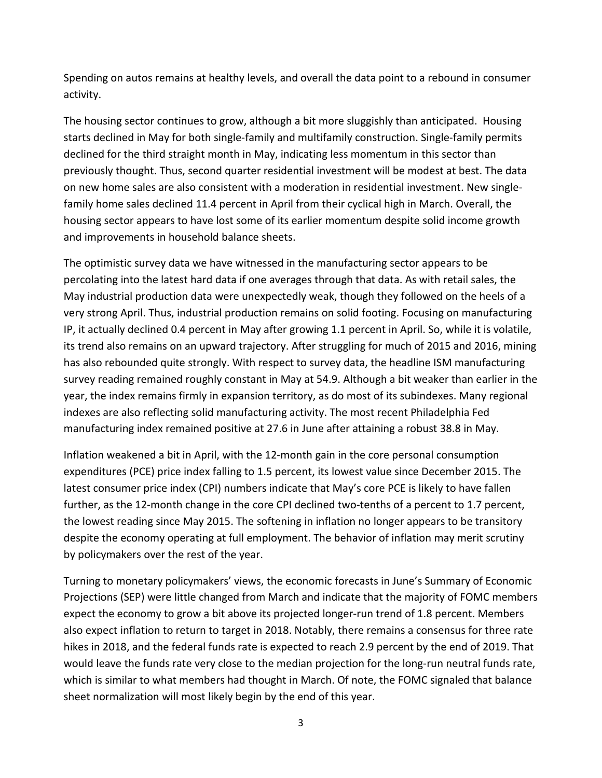Spending on autos remains at healthy levels, and overall the data point to a rebound in consumer activity.

The housing sector continues to grow, although a bit more sluggishly than anticipated. Housing starts declined in May for both single-family and multifamily construction. Single-family permits declined for the third straight month in May, indicating less momentum in this sector than previously thought. Thus, second quarter residential investment will be modest at best. The data on new home sales are also consistent with a moderation in residential investment. New singlefamily home sales declined 11.4 percent in April from their cyclical high in March. Overall, the housing sector appears to have lost some of its earlier momentum despite solid income growth and improvements in household balance sheets.

The optimistic survey data we have witnessed in the manufacturing sector appears to be percolating into the latest hard data if one averages through that data. As with retail sales, the May industrial production data were unexpectedly weak, though they followed on the heels of a very strong April. Thus, industrial production remains on solid footing. Focusing on manufacturing IP, it actually declined 0.4 percent in May after growing 1.1 percent in April. So, while it is volatile, its trend also remains on an upward trajectory. After struggling for much of 2015 and 2016, mining has also rebounded quite strongly. With respect to survey data, the headline ISM manufacturing survey reading remained roughly constant in May at 54.9. Although a bit weaker than earlier in the year, the index remains firmly in expansion territory, as do most of its subindexes. Many regional indexes are also reflecting solid manufacturing activity. The most recent Philadelphia Fed manufacturing index remained positive at 27.6 in June after attaining a robust 38.8 in May.

Inflation weakened a bit in April, with the 12-month gain in the core personal consumption expenditures (PCE) price index falling to 1.5 percent, its lowest value since December 2015. The latest consumer price index (CPI) numbers indicate that May's core PCE is likely to have fallen further, as the 12-month change in the core CPI declined two-tenths of a percent to 1.7 percent, the lowest reading since May 2015. The softening in inflation no longer appears to be transitory despite the economy operating at full employment. The behavior of inflation may merit scrutiny by policymakers over the rest of the year.

Turning to monetary policymakers' views, the economic forecasts in June's Summary of Economic Projections (SEP) were little changed from March and indicate that the majority of FOMC members expect the economy to grow a bit above its projected longer-run trend of 1.8 percent. Members also expect inflation to return to target in 2018. Notably, there remains a consensus for three rate hikes in 2018, and the federal funds rate is expected to reach 2.9 percent by the end of 2019. That would leave the funds rate very close to the median projection for the long-run neutral funds rate, which is similar to what members had thought in March. Of note, the FOMC signaled that balance sheet normalization will most likely begin by the end of this year.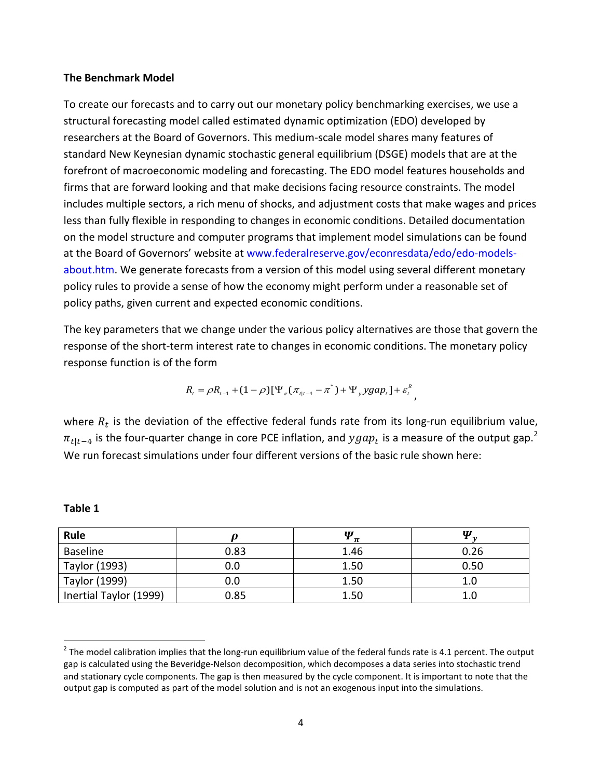#### **The Benchmark Model**

To create our forecasts and to carry out our monetary policy benchmarking exercises, we use a structural forecasting model called estimated dynamic optimization (EDO) developed by researchers at the Board of Governors. This medium-scale model shares many features of standard New Keynesian dynamic stochastic general equilibrium (DSGE) models that are at the forefront of macroeconomic modeling and forecasting. The EDO model features households and firms that are forward looking and that make decisions facing resource constraints. The model includes multiple sectors, a rich menu of shocks, and adjustment costs that make wages and prices less than fully flexible in responding to changes in economic conditions. Detailed documentation on the model structure and computer programs that implement model simulations can be found at the Board of Governors' website at [www.federalreserve.gov/econresdata/edo/edo-models](http://www.federalreserve.gov/econresdata/edo/edo-models-about.htm)[about.htm.](http://www.federalreserve.gov/econresdata/edo/edo-models-about.htm) We generate forecasts from a version of this model using several different monetary policy rules to provide a sense of how the economy might perform under a reasonable set of policy paths, given current and expected economic conditions.

The key parameters that we change under the various policy alternatives are those that govern the response of the short-term interest rate to changes in economic conditions. The monetary policy response function is of the form

$$
R_{t} = \rho R_{t-1} + (1 - \rho)[\Psi_{\pi}(\pi_{t|t-4} - \pi^{*}) + \Psi_{y}ygap_{t}] + \varepsilon_{t}^{R},
$$

where  $R_t$  is the deviation of the effective federal funds rate from its long-run equilibrium value,  $\pi_{t|t-4}$  is the four-quarter change in core PCE inflation, and  $ygap_t$  is a measure of the output gap.<sup>[2](#page-3-0)</sup> We run forecast simulations under four different versions of the basic rule shown here:

| Rule                   |      | W<br>$\boldsymbol{\pi}$ | W    |
|------------------------|------|-------------------------|------|
| Baseline               | 0.83 | 1.46                    | 0.26 |
| Taylor (1993)          | 0.0  | 1.50                    | 0.50 |
| Taylor (1999)          | 0.0  | 1.50                    |      |
| Inertial Taylor (1999) | 0.85 | 1.50                    |      |

**Table 1**

<span id="page-3-0"></span> $2$  The model calibration implies that the long-run equilibrium value of the federal funds rate is 4.1 percent. The output gap is calculated using the Beveridge-Nelson decomposition, which decomposes a data series into stochastic trend and stationary cycle components. The gap is then measured by the cycle component. It is important to note that the output gap is computed as part of the model solution and is not an exogenous input into the simulations.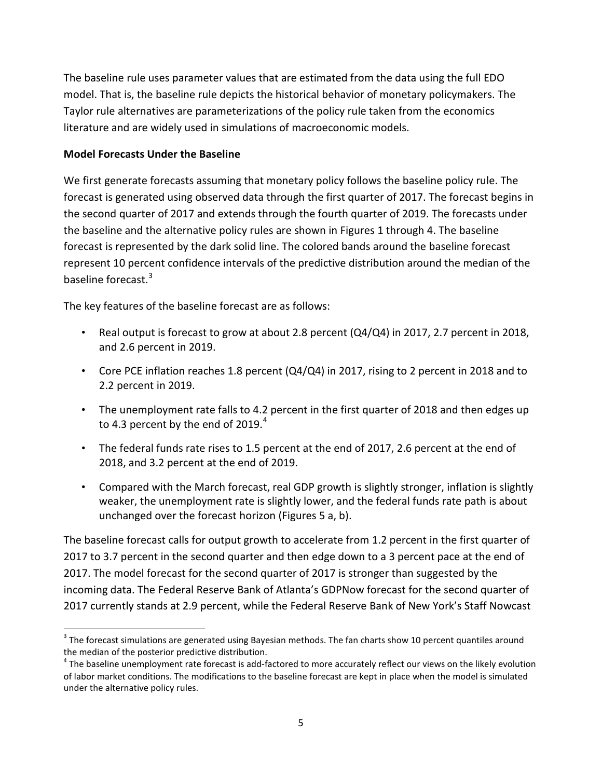The baseline rule uses parameter values that are estimated from the data using the full EDO model. That is, the baseline rule depicts the historical behavior of monetary policymakers. The Taylor rule alternatives are parameterizations of the policy rule taken from the economics literature and are widely used in simulations of macroeconomic models.

### **Model Forecasts Under the Baseline**

We first generate forecasts assuming that monetary policy follows the baseline policy rule. The forecast is generated using observed data through the first quarter of 2017. The forecast begins in the second quarter of 2017 and extends through the fourth quarter of 2019. The forecasts under the baseline and the alternative policy rules are shown in Figures 1 through 4. The baseline forecast is represented by the dark solid line. The colored bands around the baseline forecast represent 10 percent confidence intervals of the predictive distribution around the median of the baseline forecast.<sup>[3](#page-4-0)</sup>

The key features of the baseline forecast are as follows:

- Real output is forecast to grow at about 2.8 percent (Q4/Q4) in 2017, 2.7 percent in 2018, and 2.6 percent in 2019.
- Core PCE inflation reaches 1.8 percent (Q4/Q4) in 2017, rising to 2 percent in 2018 and to 2.2 percent in 2019.
- The unemployment rate falls to 4.2 percent in the first quarter of 2018 and then edges up to [4](#page-4-1).3 percent by the end of 2019. $^4$
- The federal funds rate rises to 1.5 percent at the end of 2017, 2.6 percent at the end of 2018, and 3.2 percent at the end of 2019.
- Compared with the March forecast, real GDP growth is slightly stronger, inflation is slightly weaker, the unemployment rate is slightly lower, and the federal funds rate path is about unchanged over the forecast horizon (Figures 5 a, b).

The baseline forecast calls for output growth to accelerate from 1.2 percent in the first quarter of 2017 to 3.7 percent in the second quarter and then edge down to a 3 percent pace at the end of 2017. The model forecast for the second quarter of 2017 is stronger than suggested by the incoming data. The Federal Reserve Bank of Atlanta's GDPNow forecast for the second quarter of 2017 currently stands at 2.9 percent, while the Federal Reserve Bank of New York's Staff Nowcast

<span id="page-4-0"></span> $3$  The forecast simulations are generated using Bayesian methods. The fan charts show 10 percent quantiles around the median of the posterior predictive distribution.

<span id="page-4-1"></span> $4$  The baseline unemployment rate forecast is add-factored to more accurately reflect our views on the likely evolution of labor market conditions. The modifications to the baseline forecast are kept in place when the model is simulated under the alternative policy rules.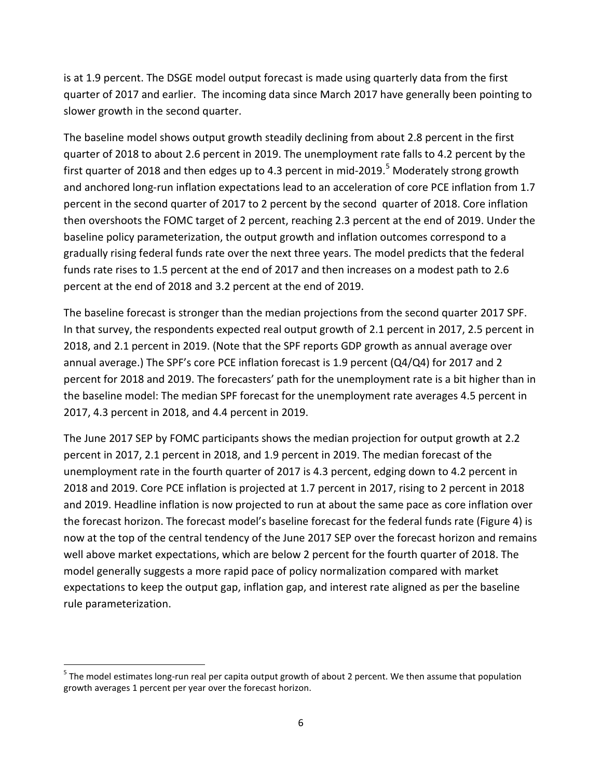is at 1.9 percent. The DSGE model output forecast is made using quarterly data from the first quarter of 2017 and earlier. The incoming data since March 2017 have generally been pointing to slower growth in the second quarter.

The baseline model shows output growth steadily declining from about 2.8 percent in the first quarter of 2018 to about 2.6 percent in 2019. The unemployment rate falls to 4.2 percent by the first quarter of 2018 and then edges up to 4.3 percent in mid-2019.<sup>[5](#page-5-0)</sup> Moderately strong growth and anchored long-run inflation expectations lead to an acceleration of core PCE inflation from 1.7 percent in the second quarter of 2017 to 2 percent by the second quarter of 2018. Core inflation then overshoots the FOMC target of 2 percent, reaching 2.3 percent at the end of 2019. Under the baseline policy parameterization, the output growth and inflation outcomes correspond to a gradually rising federal funds rate over the next three years. The model predicts that the federal funds rate rises to 1.5 percent at the end of 2017 and then increases on a modest path to 2.6 percent at the end of 2018 and 3.2 percent at the end of 2019.

The baseline forecast is stronger than the median projections from the second quarter 2017 SPF. In that survey, the respondents expected real output growth of 2.1 percent in 2017, 2.5 percent in 2018, and 2.1 percent in 2019. (Note that the SPF reports GDP growth as annual average over annual average.) The SPF's core PCE inflation forecast is 1.9 percent (Q4/Q4) for 2017 and 2 percent for 2018 and 2019. The forecasters' path for the unemployment rate is a bit higher than in the baseline model: The median SPF forecast for the unemployment rate averages 4.5 percent in 2017, 4.3 percent in 2018, and 4.4 percent in 2019.

The June 2017 SEP by FOMC participants shows the median projection for output growth at 2.2 percent in 2017, 2.1 percent in 2018, and 1.9 percent in 2019. The median forecast of the unemployment rate in the fourth quarter of 2017 is 4.3 percent, edging down to 4.2 percent in 2018 and 2019. Core PCE inflation is projected at 1.7 percent in 2017, rising to 2 percent in 2018 and 2019. Headline inflation is now projected to run at about the same pace as core inflation over the forecast horizon. The forecast model's baseline forecast for the federal funds rate (Figure 4) is now at the top of the central tendency of the June 2017 SEP over the forecast horizon and remains well above market expectations, which are below 2 percent for the fourth quarter of 2018. The model generally suggests a more rapid pace of policy normalization compared with market expectations to keep the output gap, inflation gap, and interest rate aligned as per the baseline rule parameterization.

<span id="page-5-0"></span><sup>&</sup>lt;sup>5</sup> The model estimates long-run real per capita output growth of about 2 percent. We then assume that population growth averages 1 percent per year over the forecast horizon.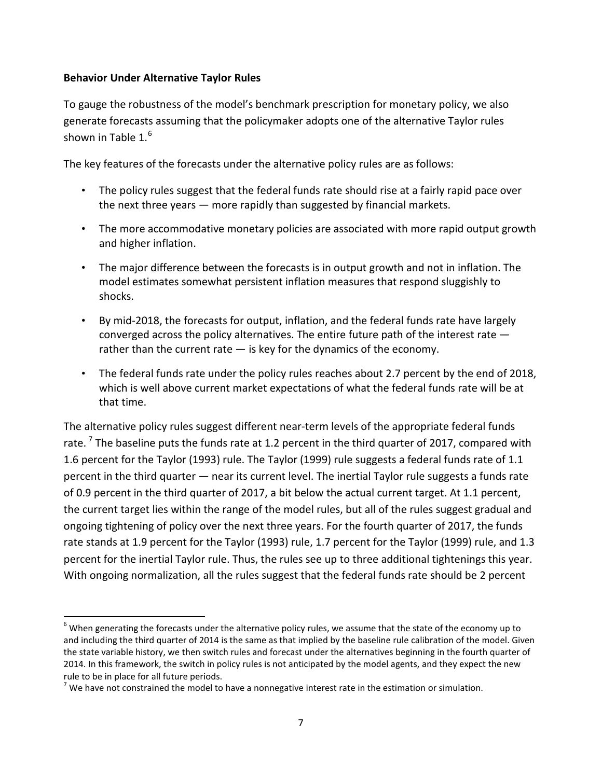### **Behavior Under Alternative Taylor Rules**

To gauge the robustness of the model's benchmark prescription for monetary policy, we also generate forecasts assuming that the policymaker adopts one of the alternative Taylor rules shown in Table 1. $^6$  $^6$ 

The key features of the forecasts under the alternative policy rules are as follows:

- The policy rules suggest that the federal funds rate should rise at a fairly rapid pace over the next three years — more rapidly than suggested by financial markets.
- The more accommodative monetary policies are associated with more rapid output growth and higher inflation.
- The major difference between the forecasts is in output growth and not in inflation. The model estimates somewhat persistent inflation measures that respond sluggishly to shocks.
- By mid-2018, the forecasts for output, inflation, and the federal funds rate have largely converged across the policy alternatives. The entire future path of the interest rate rather than the current rate  $-$  is key for the dynamics of the economy.
- The federal funds rate under the policy rules reaches about 2.7 percent by the end of 2018, which is well above current market expectations of what the federal funds rate will be at that time.

The alternative policy rules suggest different near-term levels of the appropriate federal funds rate.<sup>[7](#page-6-1)</sup> The baseline puts the funds rate at 1.2 percent in the third quarter of 2017, compared with 1.6 percent for the Taylor (1993) rule. The Taylor (1999) rule suggests a federal funds rate of 1.1 percent in the third quarter — near its current level. The inertial Taylor rule suggests a funds rate of 0.9 percent in the third quarter of 2017, a bit below the actual current target. At 1.1 percent, the current target lies within the range of the model rules, but all of the rules suggest gradual and ongoing tightening of policy over the next three years. For the fourth quarter of 2017, the funds rate stands at 1.9 percent for the Taylor (1993) rule, 1.7 percent for the Taylor (1999) rule, and 1.3 percent for the inertial Taylor rule. Thus, the rules see up to three additional tightenings this year. With ongoing normalization, all the rules suggest that the federal funds rate should be 2 percent

<span id="page-6-0"></span> $6$  When generating the forecasts under the alternative policy rules, we assume that the state of the economy up to and including the third quarter of 2014 is the same as that implied by the baseline rule calibration of the model. Given the state variable history, we then switch rules and forecast under the alternatives beginning in the fourth quarter of 2014. In this framework, the switch in policy rules is not anticipated by the model agents, and they expect the new rule to be in place for all future periods.

<span id="page-6-1"></span> $<sup>7</sup>$  We have not constrained the model to have a nonnegative interest rate in the estimation or simulation.</sup>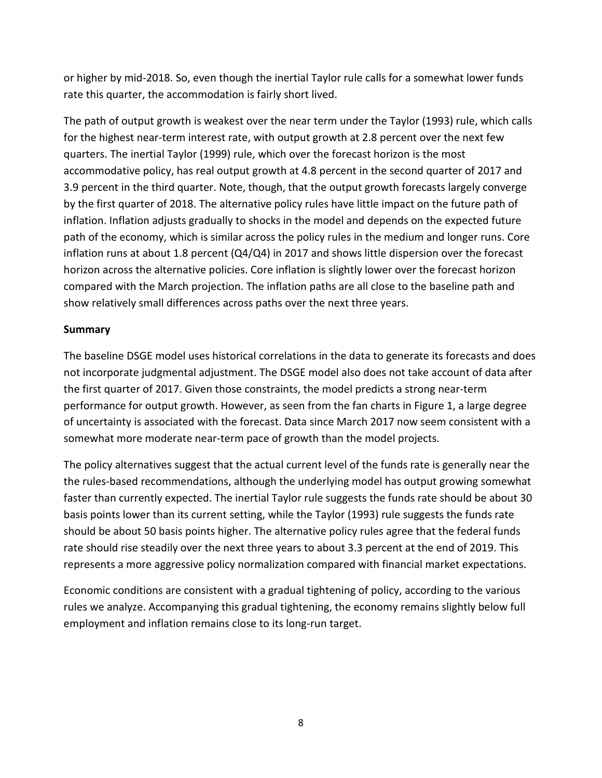or higher by mid-2018. So, even though the inertial Taylor rule calls for a somewhat lower funds rate this quarter, the accommodation is fairly short lived.

The path of output growth is weakest over the near term under the Taylor (1993) rule, which calls for the highest near-term interest rate, with output growth at 2.8 percent over the next few quarters. The inertial Taylor (1999) rule, which over the forecast horizon is the most accommodative policy, has real output growth at 4.8 percent in the second quarter of 2017 and 3.9 percent in the third quarter. Note, though, that the output growth forecasts largely converge by the first quarter of 2018. The alternative policy rules have little impact on the future path of inflation. Inflation adjusts gradually to shocks in the model and depends on the expected future path of the economy, which is similar across the policy rules in the medium and longer runs. Core inflation runs at about 1.8 percent (Q4/Q4) in 2017 and shows little dispersion over the forecast horizon across the alternative policies. Core inflation is slightly lower over the forecast horizon compared with the March projection. The inflation paths are all close to the baseline path and show relatively small differences across paths over the next three years.

### **Summary**

The baseline DSGE model uses historical correlations in the data to generate its forecasts and does not incorporate judgmental adjustment. The DSGE model also does not take account of data after the first quarter of 2017. Given those constraints, the model predicts a strong near-term performance for output growth. However, as seen from the fan charts in Figure 1, a large degree of uncertainty is associated with the forecast. Data since March 2017 now seem consistent with a somewhat more moderate near-term pace of growth than the model projects.

The policy alternatives suggest that the actual current level of the funds rate is generally near the the rules-based recommendations, although the underlying model has output growing somewhat faster than currently expected. The inertial Taylor rule suggests the funds rate should be about 30 basis points lower than its current setting, while the Taylor (1993) rule suggests the funds rate should be about 50 basis points higher. The alternative policy rules agree that the federal funds rate should rise steadily over the next three years to about 3.3 percent at the end of 2019. This represents a more aggressive policy normalization compared with financial market expectations.

Economic conditions are consistent with a gradual tightening of policy, according to the various rules we analyze. Accompanying this gradual tightening, the economy remains slightly below full employment and inflation remains close to its long-run target.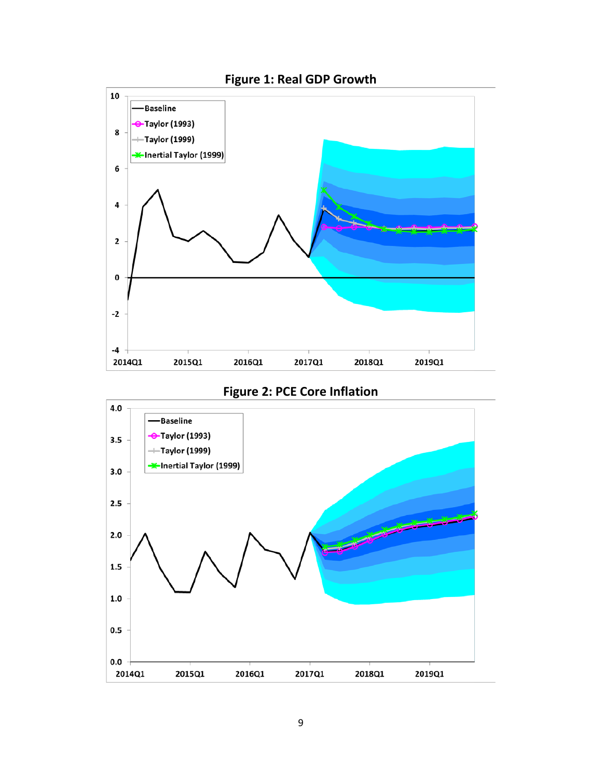

# **Figure 2: PCE Core Inflation**

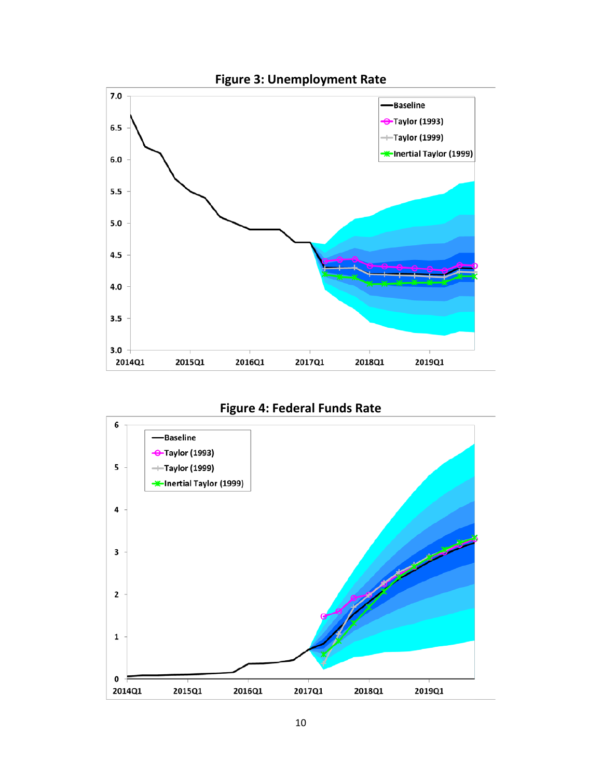



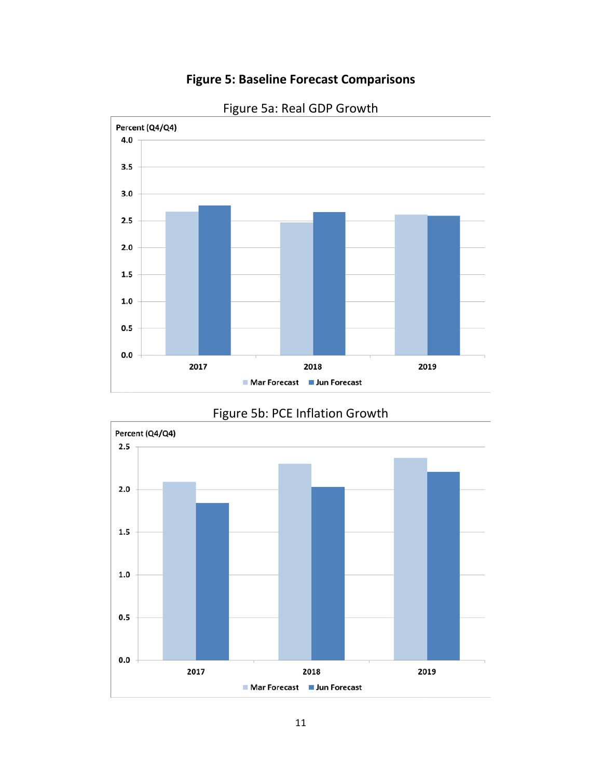### **Figure 5: Baseline Forecast Comparisons**



# Figure 5a: Real GDP Growth



# Figure 5b: PCE Inflation Growth